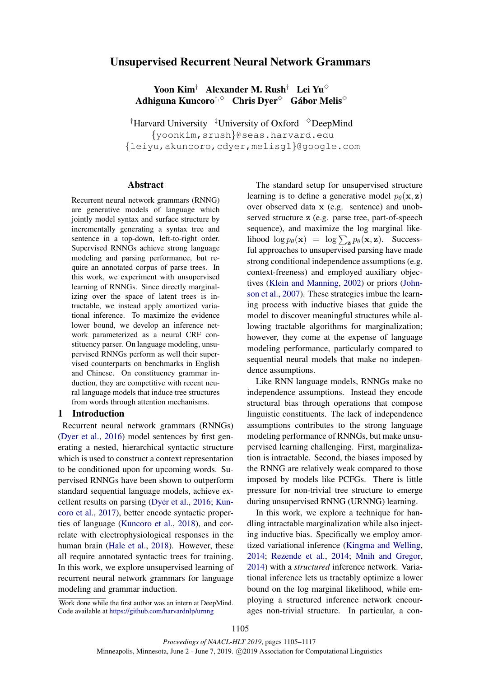# Unsupervised Recurrent Neural Network Grammars

Yoon Kim<sup>†</sup> Alexander M. Rush<sup>†</sup> Lei Yu<sup> $\diamond$ </sup> Adhiguna Kuncoro $^{\ddagger,\diamond}$   $\,$  Chris Dyer $^{\diamond}$   $\,$  Gábor Melis $^{\diamond}$ 

<sup>†</sup>Harvard University  $\frac{1}{4}$ University of Oxford  $\degree$ DeepMind {yoonkim,srush}@seas.harvard.edu {leiyu,akuncoro,cdyer,melisgl}@google.com

## Abstract

Recurrent neural network grammars (RNNG) are generative models of language which jointly model syntax and surface structure by incrementally generating a syntax tree and sentence in a top-down, left-to-right order. Supervised RNNGs achieve strong language modeling and parsing performance, but require an annotated corpus of parse trees. In this work, we experiment with unsupervised learning of RNNGs. Since directly marginalizing over the space of latent trees is intractable, we instead apply amortized variational inference. To maximize the evidence lower bound, we develop an inference network parameterized as a neural CRF constituency parser. On language modeling, unsupervised RNNGs perform as well their supervised counterparts on benchmarks in English and Chinese. On constituency grammar induction, they are competitive with recent neural language models that induce tree structures from words through attention mechanisms.

# 1 Introduction

Recurrent neural network grammars (RNNGs) (Dyer et al., 2016) model sentences by first generating a nested, hierarchical syntactic structure which is used to construct a context representation to be conditioned upon for upcoming words. Supervised RNNGs have been shown to outperform standard sequential language models, achieve excellent results on parsing (Dyer et al., 2016; Kuncoro et al., 2017), better encode syntactic properties of language (Kuncoro et al., 2018), and correlate with electrophysiological responses in the human brain (Hale et al., 2018). However, these all require annotated syntactic trees for training. In this work, we explore unsupervised learning of recurrent neural network grammars for language modeling and grammar induction.

The standard setup for unsupervised structure learning is to define a generative model  $p_{\theta}(\mathbf{x}, \mathbf{z})$ over observed data x (e.g. sentence) and unobserved structure z (e.g. parse tree, part-of-speech sequence), and maximize the log marginal likelihood  $\log p_{\theta}(\mathbf{x}) = \log \sum_{\mathbf{z}} p_{\theta}(\mathbf{x}, \mathbf{z})$ . Successful approaches to unsupervised parsing have made strong conditional independence assumptions (e.g. context-freeness) and employed auxiliary objectives (Klein and Manning, 2002) or priors (Johnson et al., 2007). These strategies imbue the learning process with inductive biases that guide the model to discover meaningful structures while allowing tractable algorithms for marginalization; however, they come at the expense of language modeling performance, particularly compared to sequential neural models that make no independence assumptions.

Like RNN language models, RNNGs make no independence assumptions. Instead they encode structural bias through operations that compose linguistic constituents. The lack of independence assumptions contributes to the strong language modeling performance of RNNGs, but make unsupervised learning challenging. First, marginalization is intractable. Second, the biases imposed by the RNNG are relatively weak compared to those imposed by models like PCFGs. There is little pressure for non-trivial tree structure to emerge during unsupervised RNNG (URNNG) learning.

In this work, we explore a technique for handling intractable marginalization while also injecting inductive bias. Specifically we employ amortized variational inference (Kingma and Welling, 2014; Rezende et al., 2014; Mnih and Gregor, 2014) with a *structured* inference network. Variational inference lets us tractably optimize a lower bound on the log marginal likelihood, while employing a structured inference network encourages non-trivial structure. In particular, a con-

Work done while the first author was an intern at DeepMind. Code available at https://github.com/harvardnlp/urnng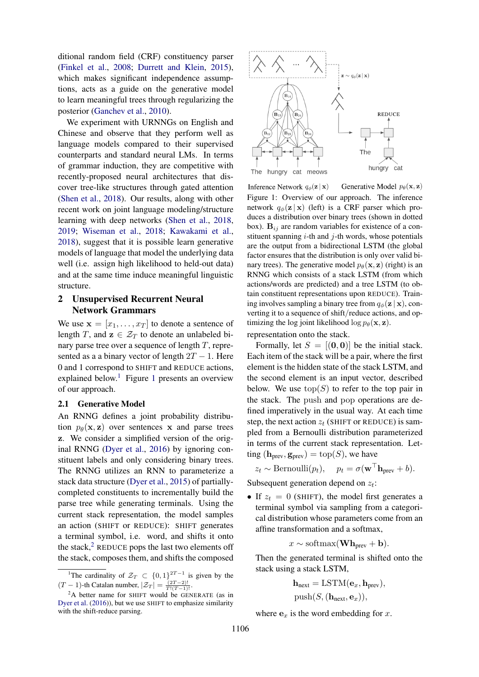ditional random field (CRF) constituency parser (Finkel et al., 2008; Durrett and Klein, 2015), which makes significant independence assumptions, acts as a guide on the generative model to learn meaningful trees through regularizing the posterior (Ganchev et al., 2010).

We experiment with URNNGs on English and Chinese and observe that they perform well as language models compared to their supervised counterparts and standard neural LMs. In terms of grammar induction, they are competitive with recently-proposed neural architectures that discover tree-like structures through gated attention (Shen et al., 2018). Our results, along with other recent work on joint language modeling/structure learning with deep networks (Shen et al., 2018, 2019; Wiseman et al., 2018; Kawakami et al., 2018), suggest that it is possible learn generative models of language that model the underlying data well (i.e. assign high likelihood to held-out data) and at the same time induce meaningful linguistic structure.

# 2 Unsupervised Recurrent Neural Network Grammars

We use  $\mathbf{x} = [x_1, \dots, x_T]$  to denote a sentence of length T, and  $z \in \mathcal{Z}_T$  to denote an unlabeled binary parse tree over a sequence of length  $T$ , represented as a a binary vector of length  $2T - 1$ . Here 0 and 1 correspond to SHIFT and REDUCE actions, explained below.<sup>1</sup> Figure 1 presents an overview of our approach.

### 2.1 Generative Model

An RNNG defines a joint probability distribution  $p_{\theta}(\mathbf{x}, \mathbf{z})$  over sentences x and parse trees z. We consider a simplified version of the original RNNG (Dyer et al., 2016) by ignoring constituent labels and only considering binary trees. The RNNG utilizes an RNN to parameterize a stack data structure (Dyer et al., 2015) of partiallycompleted constituents to incrementally build the parse tree while generating terminals. Using the current stack representation, the model samples an action (SHIFT or REDUCE): SHIFT generates a terminal symbol, i.e. word, and shifts it onto the stack, $^{2}$  REDUCE pops the last two elements off the stack, composes them, and shifts the composed



Inference Network  $q_{\phi}(\mathbf{z} | \mathbf{x})$ Generative Model  $p_{\theta}(\mathbf{x}, \mathbf{z})$ Figure 1: Overview of our approach. The inference network  $q_{\phi}(\mathbf{z} | \mathbf{x})$  (left) is a CRF parser which produces a distribution over binary trees (shown in dotted box).  $B_{ij}$  are random variables for existence of a constituent spanning  $i$ -th and  $j$ -th words, whose potentials are the output from a bidirectional LSTM (the global factor ensures that the distribution is only over valid binary trees). The generative model  $p_{\theta}(\mathbf{x}, \mathbf{z})$  (right) is an RNNG which consists of a stack LSTM (from which actions/words are predicted) and a tree LSTM (to obtain constituent representations upon REDUCE). Training involves sampling a binary tree from  $q_{\phi}(\mathbf{z} | \mathbf{x})$ , converting it to a sequence of shift/reduce actions, and optimizing the log joint likelihood  $\log p_\theta(\mathbf{x}, \mathbf{z})$ . representation onto the stack.

Formally, let  $S = [(0, 0)]$  be the initial stack. Each item of the stack will be a pair, where the first element is the hidden state of the stack LSTM, and the second element is an input vector, described below. We use  $top(S)$  to refer to the top pair in the stack. The push and pop operations are defined imperatively in the usual way. At each time step, the next action  $z_t$  (SHIFT or REDUCE) is sampled from a Bernoulli distribution parameterized in terms of the current stack representation. Letting  $(\mathbf{h}_{prev}, \mathbf{g}_{prev}) = \text{top}(S)$ , we have

$$
z_t \sim \text{Bernoulli}(p_t), \quad p_t = \sigma(\mathbf{w}^\top \mathbf{h}_{prev} + b).
$$

Subsequent generation depend on  $z_t$ :

• If  $z_t = 0$  (SHIFT), the model first generates a terminal symbol via sampling from a categorical distribution whose parameters come from an affine transformation and a softmax,

$$
x \sim \text{softmax}(\mathbf{Wh}_{prev} + \mathbf{b}).
$$

Then the generated terminal is shifted onto the stack using a stack LSTM,

> $\mathbf{h}_{\text{next}} = \text{LSTM}(\mathbf{e}_x, \mathbf{h}_{\text{prev}}),$  $push(S, (\mathbf{h}_{\text{next}}, \mathbf{e}_x)),$

where  $e_x$  is the word embedding for x.

<sup>&</sup>lt;sup>1</sup>The cardinality of  $\mathcal{Z}_T \subset \{0,1\}^{2T-1}$  is given by the  $(T-1)$ -th Catalan number,  $|\mathcal{Z}_T| = \frac{(2T-2)!}{T!(T-1)!}$ .

 $2A$  better name for SHIFT would be GENERATE (as in Dyer et al. (2016)), but we use SHIFT to emphasize similarity with the shift-reduce parsing.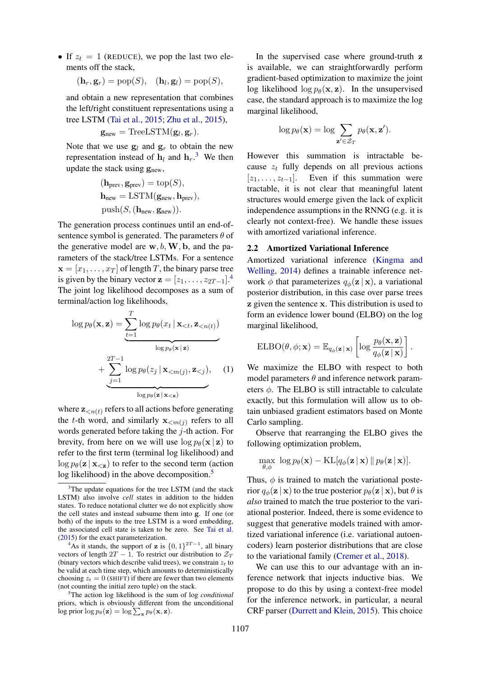• If  $z_t = 1$  (REDUCE), we pop the last two elements off the stack,

$$
(\mathbf{h}_r, \mathbf{g}_r) = \text{pop}(S), \quad (\mathbf{h}_l, \mathbf{g}_l) = \text{pop}(S),
$$

and obtain a new representation that combines the left/right constituent representations using a tree LSTM (Tai et al., 2015; Zhu et al., 2015),

$$
\mathbf{g}_{\text{new}} = \text{TreeLSTM}(\mathbf{g}_l, \mathbf{g}_r).
$$

Note that we use  $g_l$  and  $g_r$  to obtain the new representation instead of  $\mathbf{h}_l$  and  $\mathbf{h}_r$ .<sup>3</sup> We then update the stack using  $g_{\text{new}}$ ,

$$
(\mathbf{h}_{\text{prev}}, \mathbf{g}_{\text{prev}}) = \text{top}(S),
$$
  

$$
\mathbf{h}_{\text{new}} = \text{LSTM}(\mathbf{g}_{\text{new}}, \mathbf{h}_{\text{prev}}),
$$
  

$$
\text{push}(S, (\mathbf{h}_{\text{new}}, \mathbf{g}_{\text{new}})).
$$

The generation process continues until an end-ofsentence symbol is generated. The parameters  $\theta$  of the generative model are  $w, b, W, b$ , and the parameters of the stack/tree LSTMs. For a sentence  $\mathbf{x} = [x_1, \dots, x_T]$  of length T, the binary parse tree is given by the binary vector  $\mathbf{z} = [z_1, \dots, z_{2T-1}]$ .<sup>4</sup> The joint log likelihood decomposes as a sum of terminal/action log likelihoods,

$$
\log p_{\theta}(\mathbf{x}, \mathbf{z}) = \underbrace{\sum_{t=1}^{T} \log p_{\theta}(x_t | \mathbf{x}_{< t}, \mathbf{z}_{< n(t)})}_{\log p_{\theta}(\mathbf{x} | \mathbf{z})} + \underbrace{\sum_{j=1}^{2T-1} \log p_{\theta}(z_j | \mathbf{x}_{< m(j)}, \mathbf{z}_{< j})}_{\log p_{\theta}(\mathbf{z} | \mathbf{x}_{< \mathbf{z}})}, \quad (1)
$$

where  $\mathbf{z}_{\leq n(t)}$  refers to all actions before generating the t-th word, and similarly  $\mathbf{x}_{\leq m(j)}$  refers to all words generated before taking the  $j$ -th action. For brevity, from here on we will use  $\log p_\theta(\mathbf{x} \mid \mathbf{z})$  to refer to the first term (terminal log likelihood) and  $\log p_{\theta}(\mathbf{z} | \mathbf{x}_{\leq \mathbf{z}})$  to refer to the second term (action log likelihood) in the above decomposition.<sup>5</sup>

<sup>5</sup>The action log likelihood is the sum of log *conditional* priors, which is obviously different from the unconditional log prior log  $p_{\theta}(\mathbf{z}) = \log \sum_{\mathbf{x}} p_{\theta}(\mathbf{x}, \mathbf{z}).$ 

In the supervised case where ground-truth z is available, we can straightforwardly perform gradient-based optimization to maximize the joint log likelihood  $\log p_\theta(\mathbf{x}, \mathbf{z})$ . In the unsupervised case, the standard approach is to maximize the log marginal likelihood,

$$
\log p_{\theta}(\mathbf{x}) = \log \sum_{\mathbf{z}' \in \mathcal{Z}_T} p_{\theta}(\mathbf{x}, \mathbf{z}').
$$

However this summation is intractable because  $z_t$  fully depends on all previous actions  $[z_1, \ldots, z_{t-1}]$ . Even if this summation were tractable, it is not clear that meaningful latent structures would emerge given the lack of explicit independence assumptions in the RNNG (e.g. it is clearly not context-free). We handle these issues with amortized variational inference.

### 2.2 Amortized Variational Inference

Amortized variational inference (Kingma and Welling, 2014) defines a trainable inference network  $\phi$  that parameterizes  $q_{\phi}(\mathbf{z} | \mathbf{x})$ , a variational posterior distribution, in this case over parse trees z given the sentence x. This distribution is used to form an evidence lower bound (ELBO) on the log marginal likelihood,

$$
\mathrm{ELBO}(\theta, \phi; \mathbf{x}) = \mathbb{E}_{q_{\phi}(\mathbf{z} \,|\, \mathbf{x})} \left[ \log \frac{p_{\theta}(\mathbf{x}, \mathbf{z})}{q_{\phi}(\mathbf{z} \,|\, \mathbf{x})} \right].
$$

We maximize the ELBO with respect to both model parameters  $\theta$  and inference network parameters  $\phi$ . The ELBO is still intractable to calculate exactly, but this formulation will allow us to obtain unbiased gradient estimators based on Monte Carlo sampling.

Observe that rearranging the ELBO gives the following optimization problem,

$$
\max_{\theta,\phi} \ \log p_\theta(\mathbf{x}) - \mathrm{KL}[q_\phi(\mathbf{z} \,|\, \mathbf{x}) \, \| \, p_\theta(\mathbf{z} \,|\, \mathbf{x})].
$$

Thus,  $\phi$  is trained to match the variational posterior  $q_{\phi}(\mathbf{z} | \mathbf{x})$  to the true posterior  $p_{\theta}(\mathbf{z} | \mathbf{x})$ , but  $\theta$  is *also* trained to match the true posterior to the variational posterior. Indeed, there is some evidence to suggest that generative models trained with amortized variational inference (i.e. variational autoencoders) learn posterior distributions that are close to the variational family (Cremer et al., 2018).

We can use this to our advantage with an inference network that injects inductive bias. We propose to do this by using a context-free model for the inference network, in particular, a neural CRF parser (Durrett and Klein, 2015). This choice

<sup>&</sup>lt;sup>3</sup>The update equations for the tree LSTM (and the stack LSTM) also involve *cell* states in addition to the hidden states. To reduce notational clutter we do not explicitly show the cell states and instead subsume them into g. If one (or both) of the inputs to the tree LSTM is a word embedding, the associated cell state is taken to be zero. See Tai et al. (2015) for the exact parameterization.

<sup>&</sup>lt;sup>4</sup>As it stands, the support of **z** is  $\{0, 1\}^{2T-1}$ , all binary vectors of length  $2T - 1$ . To restrict our distribution to  $\mathcal{Z}_T$ (binary vectors which describe valid trees), we constrain  $z_t$  to be valid at each time step, which amounts to deterministically choosing  $z_t = 0$  (SHIFT) if there are fewer than two elements (not counting the initial zero tuple) on the stack.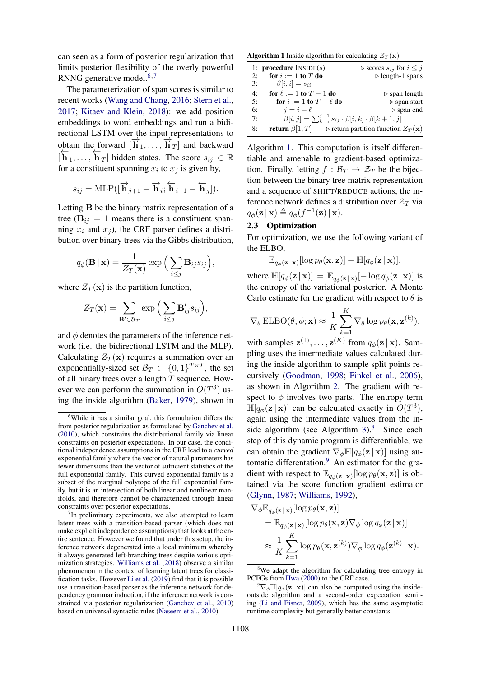can seen as a form of posterior regularization that limits posterior flexibility of the overly powerful RNNG generative model.<sup>6,7</sup>

The parameterization of span scores is similar to recent works (Wang and Chang, 2016; Stern et al., 2017; Kitaev and Klein, 2018): we add position embeddings to word embeddings and run a bidirectional LSTM over the input representations to obtain the forward  $[\overrightarrow{\mathbf{h}}_1, ..., \overrightarrow{\mathbf{h}}_T]$  and backward  $[\mathbf{\overline{h}}_1, \dots, \mathbf{\overline{h}}_T]$  hidden states. The score  $s_{ij} \in \mathbb{R}$ for a constituent spanning  $x_i$  to  $x_j$  is given by,

$$
s_{ij} = \text{MLP}([\overrightarrow{\mathbf{h}}_{j+1} - \overrightarrow{\mathbf{h}}_i; \overleftarrow{\mathbf{h}}_{i-1} - \overleftarrow{\mathbf{h}}_j]).
$$

Letting B be the binary matrix representation of a tree ( $B_{ij} = 1$  means there is a constituent spanning  $x_i$  and  $x_j$ ), the CRF parser defines a distribution over binary trees via the Gibbs distribution,

$$
q_{\phi}(\mathbf{B} \mid \mathbf{x}) = \frac{1}{Z_T(\mathbf{x})} \exp \Big( \sum_{i \leq j} \mathbf{B}_{ij} s_{ij} \Big),\,
$$

where  $Z_T(\mathbf{x})$  is the partition function,

$$
Z_T(\mathbf{x}) = \sum_{\mathbf{B}' \in \mathcal{B}_T} \exp\Big(\sum_{i \leq j} \mathbf{B}'_{ij} s_{ij}\Big),\,
$$

and  $\phi$  denotes the parameters of the inference network (i.e. the bidirectional LSTM and the MLP). Calculating  $Z_T(\mathbf{x})$  requires a summation over an exponentially-sized set  $\mathcal{B}_T \subset \{0,1\}^{T \times T}$ , the set of all binary trees over a length  $T$  sequence. However we can perform the summation in  $O(T^3)$  using the inside algorithm (Baker, 1979), shown in

|  | <b>Algorithm 1</b> Inside algorithm for calculating $Z_T(\mathbf{x})$ |  |  |  |
|--|-----------------------------------------------------------------------|--|--|--|
|--|-----------------------------------------------------------------------|--|--|--|

|    | 1: <b>procedure</b> $INSIDE(s)$                                            | $\triangleright$ scores $s_{ij}$ for $i \leq j$              |
|----|----------------------------------------------------------------------------|--------------------------------------------------------------|
| 2: | for $i := 1$ to T do                                                       | $\triangleright$ length-1 spans                              |
| 3: | $\beta[i, i] = s_{ii}$                                                     |                                                              |
| 4: | for $\ell := 1$ to $T - 1$ do                                              | $\triangleright$ span length                                 |
| 5: | for $i := 1$ to $T - \ell$ do                                              | $\triangleright$ span start                                  |
| 6: | $i = i + \ell$                                                             | $\triangleright$ span end                                    |
| 7: | $\beta[i,j] = \sum_{k=i}^{j-1} s_{ij} \cdot \beta[i,k] \cdot \beta[k+1,j]$ |                                                              |
| 8: | <b>return</b> $\beta$ [1, T]                                               | $\triangleright$ return partition function $Z_T(\mathbf{x})$ |

Algorithm 1. This computation is itself differentiable and amenable to gradient-based optimization. Finally, letting  $f : \mathcal{B}_T \to \mathcal{Z}_T$  be the bijection between the binary tree matrix representation and a sequence of SHIFT/REDUCE actions, the inference network defines a distribution over  $\mathcal{Z}_T$  via  $q_{\phi}(\mathbf{z} \mid \mathbf{x}) \triangleq q_{\phi}(f^{-1}(\mathbf{z}) \mid \mathbf{x}).$ 

# 2.3 Optimization

For optimization, we use the following variant of the ELBO,

$$
\mathbb{E}_{q_{\phi}(\mathbf{z} \,|\, \mathbf{x})}[\log p_{\theta}(\mathbf{x}, \mathbf{z})] + \mathbb{H}[q_{\phi}(\mathbf{z} \,|\, \mathbf{x})],
$$

where  $\mathbb{H}[q_{\phi}(\mathbf{z} \mid \mathbf{x})] = \mathbb{E}_{q_{\phi}(\mathbf{z} \mid \mathbf{x})}[-\log q_{\phi}(\mathbf{z} \mid \mathbf{x})]$  is the entropy of the variational posterior. A Monte Carlo estimate for the gradient with respect to  $\theta$  is

$$
\nabla_{\theta} \text{ELBO}(\theta, \phi; \mathbf{x}) \approx \frac{1}{K} \sum_{k=1}^{K} \nabla_{\theta} \log p_{\theta}(\mathbf{x}, \mathbf{z}^{(k)}),
$$

with samples  $\mathbf{z}^{(1)}, \dots, \mathbf{z}^{(K)}$  from  $q_{\phi}(\mathbf{z} | \mathbf{x})$ . Sampling uses the intermediate values calculated during the inside algorithm to sample split points recursively (Goodman, 1998; Finkel et al., 2006), as shown in Algorithm 2. The gradient with respect to  $\phi$  involves two parts. The entropy term  $\mathbb{H}[q_\phi(\mathbf{z} \mid \mathbf{x})]$  can be calculated exactly in  $O(T^3)$ , again using the intermediate values from the inside algorithm (see Algorithm  $3$ ).<sup>8</sup> Since each step of this dynamic program is differentiable, we can obtain the gradient  $\nabla_{\phi} \mathbb{H}[q_{\phi}(\mathbf{z} \mid \mathbf{x})]$  using automatic differentation. $9$  An estimator for the gradient with respect to  $\mathbb{E}_{q_{\phi}(\mathbf{z}|\mathbf{x})}[\log p_{\theta}(\mathbf{x}, \mathbf{z})]$  is obtained via the score function gradient estimator (Glynn, 1987; Williams, 1992),

$$
\nabla_{\phi} \mathbb{E}_{q_{\phi}(\mathbf{z} \mid \mathbf{x})} [\log p_{\theta}(\mathbf{x}, \mathbf{z})] \n= \mathbb{E}_{q_{\phi}(\mathbf{z} \mid \mathbf{x})} [\log p_{\theta}(\mathbf{x}, \mathbf{z}) \nabla_{\phi} \log q_{\phi}(\mathbf{z} \mid \mathbf{x})] \n\approx \frac{1}{K} \sum_{k=1}^{K} \log p_{\theta}(\mathbf{x}, \mathbf{z}^{(k)}) \nabla_{\phi} \log q_{\phi}(\mathbf{z}^{(k)} \mid \mathbf{x}).
$$

<sup>&</sup>lt;sup>6</sup>While it has a similar goal, this formulation differs the from posterior regularization as formulated by Ganchev et al. (2010), which constrains the distributional family via linear constraints on posterior expectations. In our case, the conditional independence assumptions in the CRF lead to a *curved* exponential family where the vector of natural parameters has fewer dimensions than the vector of sufficient statistics of the full exponential family. This curved exponential family is a subset of the marginal polytope of the full exponential family, but it is an intersection of both linear and nonlinear manifolds, and therefore cannot be characterized through linear constraints over posterior expectations.

 $7$ In preliminary experiments, we also attempted to learn latent trees with a transition-based parser (which does not make explicit independence assumptions) that looks at the entire sentence. However we found that under this setup, the inference network degenerated into a local minimum whereby it always generated left-branching trees despite various optimization strategies. Williams et al. (2018) observe a similar phenomenon in the context of learning latent trees for classification tasks. However Li et al. (2019) find that it is possible use a transition-based parser as the inference network for dependency grammar induction, if the inference network is constrained via posterior regularization (Ganchev et al., 2010) based on universal syntactic rules (Naseem et al., 2010).

<sup>&</sup>lt;sup>8</sup>We adapt the algorithm for calculating tree entropy in PCFGs from Hwa (2000) to the CRF case.

 $\sqrt[9]{\nabla_{\phi} \mathbb{H}[q_{\phi}(\mathbf{z} \mid \mathbf{x})]}$  can also be computed using the insideoutside algorithm and a second-order expectation semiring (Li and Eisner, 2009), which has the same asymptotic runtime complexity but generally better constants.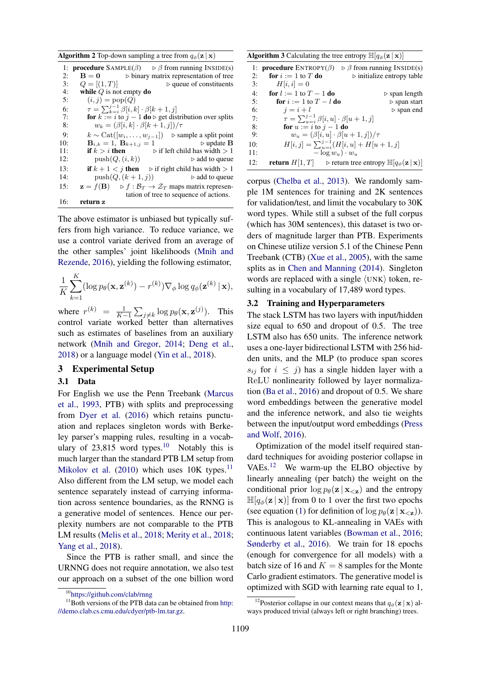**Algorithm 2** Top-down sampling a tree from  $q_{\phi}(\mathbf{z} | \mathbf{x})$ 

1: **procedure**  $SAMPLE(\beta) \Rightarrow \beta$  from running INSIDE(s) 2:  $\mathbf{B} = \mathbf{0}$   $\triangleright$  binary matrix representation of tree<br>3:  $Q = [(1, T)]$   $\triangleright$  queue of constituents 3:  $Q = [(1, T)]$   $\triangleright$  queue of constituents<br>4: **while** Q is not empty **do** 4: while Q is not empty do<br>5:  $(i, j) = \text{pop}(Q)$  $(i, j) = \text{pop}(Q)$ 6:  $\tau = \sum_{k=i}^{j-1} \beta[i, k] \cdot \beta[k+1, j]$ 7: **for**  $k := i$  to  $j - 1$  **do**  $\triangleright$  get distribution over splits 8:  $w_k = (\beta[i, k] \cdot \beta[k + 1, j]) / \tau$ 9:  $k \sim \text{Cat}([w_i, \ldots, w_{j-1}])$  > sample a split point<br>10:  $\mathbf{B}_{i,k} = 1, \mathbf{B}_{k+1,i} = 1$  > update **B**  $\triangleright$  **update <b>B** 11: **if**  $k > i$  **then**  $\triangleright$  if left child has width  $> 1$ 12:  $\text{push}(Q, (i, k))$   $\rightarrow$  add to queue 13: **if**  $k + 1 < j$  then  $\triangleright$  if right child has width  $> 1$ 14:  $push(Q, (k + 1, j))$   $\rightarrow$  add to queue 15:  $\mathbf{z} = f(\mathbf{B}) \Rightarrow f : \mathcal{B}_T \to \mathcal{Z}_T$  maps matrix representation of tree to sequence of actions. 16: return z

The above estimator is unbiased but typically suffers from high variance. To reduce variance, we use a control variate derived from an average of the other samples' joint likelihoods (Mnih and Rezende, 2016), yielding the following estimator,

$$
\frac{1}{K}\sum_{k=1}^K (\log p_\theta(\mathbf{x}, \mathbf{z}^{(k)}) - r^{(k)}) \nabla_\phi \log q_\phi(\mathbf{z}^{(k)} | \mathbf{x}),
$$

where  $r^{(k)} = \frac{1}{K-1} \sum_{j \neq k} \log p_{\theta}(\mathbf{x}, \mathbf{z}^{(j)})$ . This control variate worked better than alternatives such as estimates of baselines from an auxiliary network (Mnih and Gregor, 2014; Deng et al., 2018) or a language model (Yin et al., 2018).

### 3 Experimental Setup

# 3.1 Data

For English we use the Penn Treebank (Marcus et al., 1993, PTB) with splits and preprocessing from Dyer et al. (2016) which retains punctuation and replaces singleton words with Berkeley parser's mapping rules, resulting in a vocabulary of  $23,815$  word types.<sup>10</sup> Notably this is much larger than the standard PTB LM setup from Mikolov et al.  $(2010)$  which uses 10K types.<sup>11</sup> Also different from the LM setup, we model each sentence separately instead of carrying information across sentence boundaries, as the RNNG is a generative model of sentences. Hence our perplexity numbers are not comparable to the PTB LM results (Melis et al., 2018; Merity et al., 2018; Yang et al., 2018).

Since the PTB is rather small, and since the URNNG does not require annotation, we also test our approach on a subset of the one billion word

**Algorithm 3** Calculating the tree entropy  $\mathbb{H}[q_{\phi}(\mathbf{z} | \mathbf{x})]$ 

|     | 1: <b>procedure</b> $ENTROPY(\beta)$                      | $\triangleright$ $\beta$ from running INSIDE(s)                                                              |
|-----|-----------------------------------------------------------|--------------------------------------------------------------------------------------------------------------|
| 2:  | for $i := 1$ to T do                                      | $\triangleright$ initialize entropy table                                                                    |
| 3:  | $H[i, i] = 0$                                             |                                                                                                              |
| 4:  | for $l := 1$ to $T - 1$ do                                | $\triangleright$ span length                                                                                 |
| 5:  | for $i := 1$ to $T - l$ do                                | $\triangleright$ span start                                                                                  |
| 6:  | $i=i+l$                                                   | $\triangleright$ span end                                                                                    |
| 7:  | $\tau = \sum_{u=i}^{j-1} \beta[i, u] \cdot \beta[u+1, j]$ |                                                                                                              |
| 8:  | for $u := i$ to $i - 1$ do                                |                                                                                                              |
| 9:  | $w_u = (\beta[i, u] \cdot \beta[u + 1, j]) / \tau$        |                                                                                                              |
| 10: |                                                           | $H[i, j] = \sum_{u=i}^{j-1} (H[i, u] + H[u + 1, j])$                                                         |
| 11: | $-\log w_u \cdot w_u$                                     |                                                                                                              |
| 12: |                                                           | <b>return</b> $H[1, T]$ $\triangleright$ return tree entropy $\mathbb{H}[q_{\phi}(\mathbf{z}   \mathbf{x})]$ |

corpus (Chelba et al., 2013). We randomly sample 1M sentences for training and 2K sentences for validation/test, and limit the vocabulary to 30K word types. While still a subset of the full corpus (which has 30M sentences), this dataset is two orders of magnitude larger than PTB. Experiments on Chinese utilize version 5.1 of the Chinese Penn Treebank (CTB) (Xue et al., 2005), with the same splits as in Chen and Manning (2014). Singleton words are replaced with a single  $\langle$ UNK $\rangle$  token, resulting in a vocabulary of 17,489 word types.

## 3.2 Training and Hyperparameters

The stack LSTM has two layers with input/hidden size equal to 650 and dropout of 0.5. The tree LSTM also has 650 units. The inference network uses a one-layer bidirectional LSTM with 256 hidden units, and the MLP (to produce span scores  $s_{ij}$  for  $i \leq j$ ) has a single hidden layer with a ReLU nonlinearity followed by layer normalization (Ba et al., 2016) and dropout of 0.5. We share word embeddings between the generative model and the inference network, and also tie weights between the input/output word embeddings (Press and Wolf, 2016).

Optimization of the model itself required standard techniques for avoiding posterior collapse in VAEs.<sup>12</sup> We warm-up the ELBO objective by linearly annealing (per batch) the weight on the conditional prior  $\log p_{\theta}(\mathbf{z} | \mathbf{x}_{\leq \mathbf{z}})$  and the entropy  $\mathbb{H}[q_{\phi}(\mathbf{z} \mid \mathbf{x})]$  from 0 to 1 over the first two epochs (see equation (1) for definition of  $\log p_\theta(\mathbf{z} | \mathbf{x}_{\leq \mathbf{z}})$ ). This is analogous to KL-annealing in VAEs with continuous latent variables (Bowman et al., 2016; Sønderby et al., 2016). We train for 18 epochs (enough for convergence for all models) with a batch size of 16 and  $K = 8$  samples for the Monte Carlo gradient estimators. The generative model is optimized with SGD with learning rate equal to 1,

<sup>10</sup>https://github.com/clab/rnng

 $11$ Both versions of the PTB data can be obtained from http: //demo.clab.cs.cmu.edu/cdyer/ptb-lm.tar.gz.

<sup>&</sup>lt;sup>12</sup>Posterior collapse in our context means that  $q_{\phi}(\mathbf{z} | \mathbf{x})$  always produced trivial (always left or right branching) trees.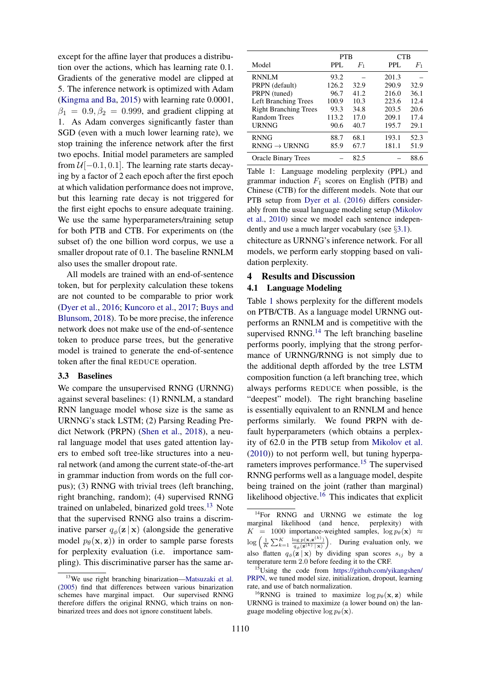except for the affine layer that produces a distribution over the actions, which has learning rate 0.1. Gradients of the generative model are clipped at 5. The inference network is optimized with Adam (Kingma and Ba, 2015) with learning rate 0.0001,  $\beta_1 = 0.9, \beta_2 = 0.999$ , and gradient clipping at 1. As Adam converges significantly faster than SGD (even with a much lower learning rate), we stop training the inference network after the first two epochs. Initial model parameters are sampled from  $\mathcal{U}[-0.1, 0.1]$ . The learning rate starts decaying by a factor of 2 each epoch after the first epoch at which validation performance does not improve, but this learning rate decay is not triggered for the first eight epochs to ensure adequate training. We use the same hyperparameters/training setup for both PTB and CTB. For experiments on (the subset of) the one billion word corpus, we use a smaller dropout rate of 0.1. The baseline RNNLM also uses the smaller dropout rate.

All models are trained with an end-of-sentence token, but for perplexity calculation these tokens are not counted to be comparable to prior work (Dyer et al., 2016; Kuncoro et al., 2017; Buys and Blunsom, 2018). To be more precise, the inference network does not make use of the end-of-sentence token to produce parse trees, but the generative model is trained to generate the end-of-sentence token after the final REDUCE operation.

#### 3.3 Baselines

We compare the unsupervised RNNG (URNNG) against several baselines: (1) RNNLM, a standard RNN language model whose size is the same as URNNG's stack LSTM; (2) Parsing Reading Predict Network (PRPN) (Shen et al., 2018), a neural language model that uses gated attention layers to embed soft tree-like structures into a neural network (and among the current state-of-the-art in grammar induction from words on the full corpus); (3) RNNG with trivial trees (left branching, right branching, random); (4) supervised RNNG trained on unlabeled, binarized gold trees. $13$  Note that the supervised RNNG also trains a discriminative parser  $q_{\phi}(\mathbf{z} | \mathbf{x})$  (alongside the generative model  $p_{\theta}(\mathbf{x}, \mathbf{z})$  in order to sample parse forests for perplexity evaluation (i.e. importance sampling). This discriminative parser has the same ar-

|                              | <b>PTB</b> |             | CTB.  |         |
|------------------------------|------------|-------------|-------|---------|
| Model                        | PPL.       | $F_{\rm 1}$ | PPL.  | $F_{1}$ |
| <b>RNNLM</b>                 | 93.2       |             | 201.3 |         |
| PRPN (default)               | 126.2      | 32.9        | 290.9 | 32.9    |
| PRPN (tuned)                 | 96.7       | 41.2.       | 216.0 | 36.1    |
| <b>Left Branching Trees</b>  | 100.9      | 10.3        | 223.6 | 12.4    |
| <b>Right Branching Trees</b> | 93.3       | 34.8        | 203.5 | 20.6    |
| Random Trees                 | 113.2      | 17.0        | 209.1 | 17.4    |
| <b>URNNG</b>                 | 90.6       | 40.7        | 195.7 | 29.1    |
| <b>RNNG</b>                  | 88.7       | 68.1        | 193.1 | 52.3    |
| $RNNG \rightarrow URNNG$     | 85.9       | 67.7        | 181.1 | 51.9    |
| <b>Oracle Binary Trees</b>   |            | 82.5        |       | 88.6    |

Table 1: Language modeling perplexity (PPL) and grammar induction  $F_1$  scores on English (PTB) and Chinese (CTB) for the different models. Note that our PTB setup from Dyer et al. (2016) differs considerably from the usual language modeling setup (Mikolov et al., 2010) since we model each sentence independently and use a much larger vocabulary (see  $\S 3.1$ ).

chitecture as URNNG's inference network. For all models, we perform early stopping based on validation perplexity.

# 4 Results and Discussion

# 4.1 Language Modeling

Table 1 shows perplexity for the different models on PTB/CTB. As a language model URNNG outperforms an RNNLM and is competitive with the supervised RNNG. $<sup>14</sup>$  The left branching baseline</sup> performs poorly, implying that the strong performance of URNNG/RNNG is not simply due to the additional depth afforded by the tree LSTM composition function (a left branching tree, which always performs REDUCE when possible, is the "deepest" model). The right branching baseline is essentially equivalent to an RNNLM and hence performs similarly. We found PRPN with default hyperparameters (which obtains a perplexity of 62.0 in the PTB setup from Mikolov et al. (2010)) to not perform well, but tuning hyperparameters improves performance.<sup>15</sup> The supervised RNNG performs well as a language model, despite being trained on the joint (rather than marginal) likelihood objective.<sup>16</sup> This indicates that explicit

<sup>13</sup>We use right branching binarization—Matsuzaki et al. (2005) find that differences between various binarization schemes have marginal impact. Our supervised RNNG therefore differs the original RNNG, which trains on nonbinarized trees and does not ignore constituent labels.

<sup>&</sup>lt;sup>14</sup>For RNNG and URNNG we estimate the log marginal likelihood (and hence, perplexity) with  $K = 1000$  importance-weighted samples,  $\log p_\theta(\mathbf{x}) \approx$  $\log\left(\frac{1}{K}\sum_{k=1}^K \frac{\log p(\mathbf{x},\mathbf{z}^{(k)})}{q_{\phi}(\mathbf{z}^{(k)}|\mathbf{x})}\right)$  $\frac{\log p(\mathbf{x}, \mathbf{z}^{(k)})}{q_{\phi}(\mathbf{z}^{(k)} | \mathbf{x})}$ . During evaluation only, we also flatten  $q_{\phi}(\mathbf{z} | \mathbf{x})$  by dividing span scores  $s_{ij}$  by a temperature term 2.0 before feeding it to the CRF.

<sup>15</sup>Using the code from https://github.com/yikangshen/ PRPN, we tuned model size, initialization, dropout, learning rate, and use of batch normalization.

<sup>&</sup>lt;sup>16</sup>RNNG is trained to maximize  $\log p_\theta(\mathbf{x}, \mathbf{z})$  while URNNG is trained to maximize (a lower bound on) the language modeling objective  $\log p_\theta(\mathbf{x})$ .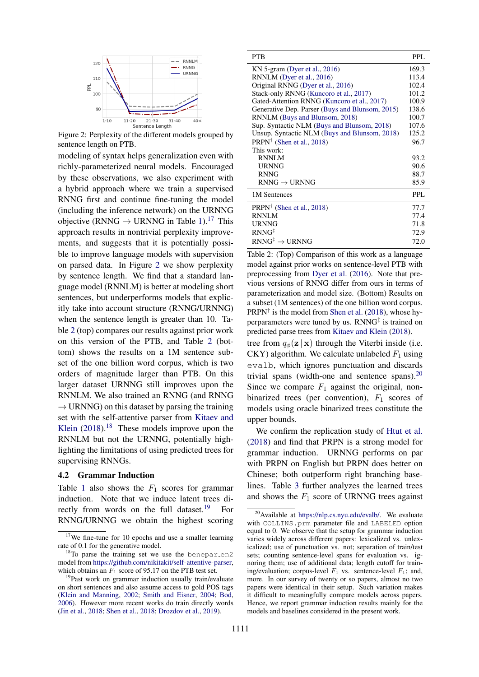

Figure 2: Perplexity of the different models grouped by sentence length on PTB.

modeling of syntax helps generalization even with richly-parameterized neural models. Encouraged by these observations, we also experiment with a hybrid approach where we train a supervised RNNG first and continue fine-tuning the model (including the inference network) on the URNNG objective (RNNG  $\rightarrow$  URNNG in Table 1).<sup>17</sup> This approach results in nontrivial perplexity improvements, and suggests that it is potentially possible to improve language models with supervision on parsed data. In Figure 2 we show perplexity by sentence length. We find that a standard language model (RNNLM) is better at modeling short sentences, but underperforms models that explicitly take into account structure (RNNG/URNNG) when the sentence length is greater than 10. Table 2 (top) compares our results against prior work on this version of the PTB, and Table 2 (bottom) shows the results on a 1M sentence subset of the one billion word corpus, which is two orders of magnitude larger than PTB. On this larger dataset URNNG still improves upon the RNNLM. We also trained an RNNG (and RNNG  $\rightarrow$  URNNG) on this dataset by parsing the training set with the self-attentive parser from Kitaev and Klein  $(2018).<sup>18</sup>$  These models improve upon the RNNLM but not the URNNG, potentially highlighting the limitations of using predicted trees for supervising RNNGs.

#### 4.2 Grammar Induction

Table 1 also shows the  $F_1$  scores for grammar induction. Note that we induce latent trees directly from words on the full dataset.<sup>19</sup> For RNNG/URNNG we obtain the highest scoring

| <b>PTB</b>                                      | PPL.       |
|-------------------------------------------------|------------|
| KN 5-gram (Dyer et al., $2016$ )                | 169.3      |
| RNNLM (Dyer et al., 2016)                       | 113.4      |
| Original RNNG (Dyer et al., 2016)               | 102.4      |
| Stack-only RNNG (Kuncoro et al., 2017)          | 101.2      |
| Gated-Attention RNNG (Kuncoro et al., 2017)     | 100.9      |
| Generative Dep. Parser (Buys and Blunsom, 2015) | 138.6      |
| RNNLM (Buys and Blunsom, 2018)                  | 100.7      |
| Sup. Syntactic NLM (Buys and Blunsom, 2018)     | 107.6      |
| Unsup. Syntactic NLM (Buys and Blunsom, 2018)   | 125.2      |
| PRPN <sup>†</sup> (Shen et al., 2018)           | 96.7       |
| This work:                                      |            |
| <b>RNNLM</b>                                    | 93.2       |
| <b>URNNG</b>                                    | 90.6       |
| <b>RNNG</b>                                     | 88.7       |
| $RNNG \rightarrow URNNG$                        | 85.9       |
| 1M Sentences                                    | <b>PPL</b> |
| $PRPN^{\dagger}$ (Shen et al., 2018)            | 77.7       |
| <b>RNNLM</b>                                    | 77.4       |
| URNNG                                           | 71.8       |
| $RNNG^{\ddagger}$                               | 72.9       |
| $RNNG^{\ddagger} \rightarrow URNNG$             | 72.0       |

Table 2: (Top) Comparison of this work as a language model against prior works on sentence-level PTB with preprocessing from Dyer et al. (2016). Note that previous versions of RNNG differ from ours in terms of parameterization and model size. (Bottom) Results on a subset (1M sentences) of the one billion word corpus.  $PRPN^{\dagger}$  is the model from Shen et al. (2018), whose hyperparameters were tuned by us. RNNG<sup>‡</sup> is trained on predicted parse trees from Kitaev and Klein (2018).

tree from  $q_{\phi}(\mathbf{z} | \mathbf{x})$  through the Viterbi inside (i.e. CKY) algorithm. We calculate unlabeled  $F_1$  using evalb, which ignores punctuation and discards trivial spans (width-one and sentence spans). $^{20}$ Since we compare  $F_1$  against the original, nonbinarized trees (per convention),  $F_1$  scores of models using oracle binarized trees constitute the upper bounds.

We confirm the replication study of Htut et al. (2018) and find that PRPN is a strong model for grammar induction. URNNG performs on par with PRPN on English but PRPN does better on Chinese; both outperform right branching baselines. Table 3 further analyzes the learned trees and shows the  $F_1$  score of URNNG trees against

 $17$ We fine-tune for 10 epochs and use a smaller learning rate of 0.1 for the generative model.

 $18$ To parse the training set we use the benepar en2 model from https://github.com/nikitakit/self-attentive-parser, which obtains an  $F_1$  score of 95.17 on the PTB test set.

<sup>&</sup>lt;sup>19</sup>Past work on grammar induction usually train/evaluate on short sentences and also assume access to gold POS tags (Klein and Manning, 2002; Smith and Eisner, 2004; Bod, 2006). However more recent works do train directly words (Jin et al., 2018; Shen et al., 2018; Drozdov et al., 2019).

<sup>&</sup>lt;sup>20</sup>Available at https://nlp.cs.nyu.edu/evalb/. We evaluate with COLLINS.prm parameter file and LABELED option equal to 0. We observe that the setup for grammar induction varies widely across different papers: lexicalized vs. unlexicalized; use of punctuation vs. not; separation of train/test sets; counting sentence-level spans for evaluation vs. ignoring them; use of additional data; length cutoff for training/evaluation; corpus-level  $F_1$  vs. sentence-level  $F_1$ ; and, more. In our survey of twenty or so papers, almost no two papers were identical in their setup. Such variation makes it difficult to meaningfully compare models across papers. Hence, we report grammar induction results mainly for the models and baselines considered in the present work.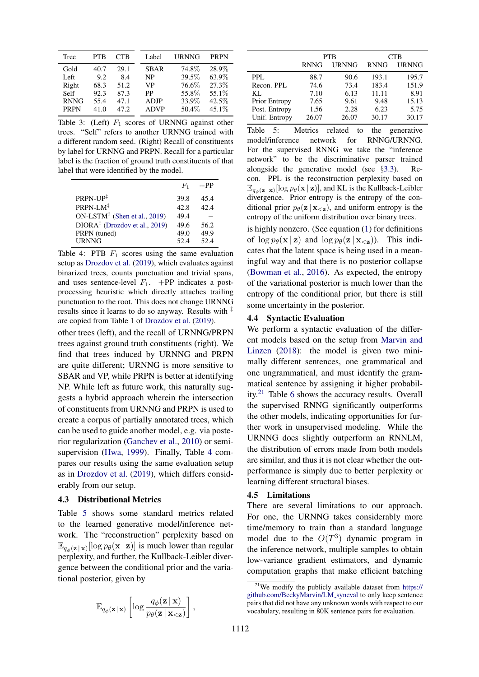| Tree        | <b>PTB</b> | CTB  | Label       | <b>URNNG</b> | <b>PRPN</b> |
|-------------|------------|------|-------------|--------------|-------------|
| Gold        | 40.7       | 29.1 | <b>SBAR</b> | 74.8%        | 28.9%       |
| Left        | 9.2        | 8.4  | <b>NP</b>   | 39.5%        | 63.9%       |
| Right       | 68.3       | 51.2 | VP          | 76.6%        | 27.3%       |
| Self        | 92.3       | 87.3 | PP          | 55.8%        | 55.1%       |
| <b>RNNG</b> | 55.4       | 47.1 | <b>ADJP</b> | 33.9%        | 42.5%       |
| <b>PRPN</b> | 41.0       | 47.2 | <b>ADVP</b> | 50.4%        | 45.1\%      |

Table 3: (Left)  $F_1$  scores of URNNG against other trees. "Self" refers to another URNNG trained with a different random seed. (Right) Recall of constituents by label for URNNG and PRPN. Recall for a particular label is the fraction of ground truth constituents of that label that were identified by the model.

|                                                       | $H_1$ | $+PP$ |
|-------------------------------------------------------|-------|-------|
| $PRPN-UP^{\ddagger}$                                  | 39.8  | 45.4  |
| PRPN-LM <sup>‡</sup>                                  | 42.8  | 42.4  |
| ON-LSTM <sup><math>‡</math></sup> (Shen et al., 2019) | 49.4  |       |
| DIORA <sup>‡</sup> (Drozdov et al., 2019)             | 49.6  | 56.2  |
| PRPN (tuned)                                          | 49.0  | 49.9  |
| <b>URNNG</b>                                          | 52.4  | 52.4  |

Table 4: PTB  $F_1$  scores using the same evaluation setup as Drozdov et al. (2019), which evaluates against binarized trees, counts punctuation and trivial spans, and uses sentence-level  $F_1$ . +PP indicates a postprocessing heuristic which directly attaches trailing punctuation to the root. This does not change URNNG results since it learns to do so anyway. Results with  $\ddot{+}$ are copied from Table 1 of Drozdov et al. (2019).

other trees (left), and the recall of URNNG/PRPN trees against ground truth constituents (right). We find that trees induced by URNNG and PRPN are quite different; URNNG is more sensitive to SBAR and VP, while PRPN is better at identifying NP. While left as future work, this naturally suggests a hybrid approach wherein the intersection of constituents from URNNG and PRPN is used to create a corpus of partially annotated trees, which can be used to guide another model, e.g. via posterior regularization (Ganchev et al., 2010) or semisupervision (Hwa, 1999). Finally, Table 4 compares our results using the same evaluation setup as in Drozdov et al. (2019), which differs considerably from our setup.

#### 4.3 Distributional Metrics

Table 5 shows some standard metrics related to the learned generative model/inference network. The "reconstruction" perplexity based on  $\mathbb{E}_{q_{\phi}(\mathbf{z} \mid \mathbf{x})}[\log p_{\theta}(\mathbf{x} \mid \mathbf{z})]$  is much lower than regular perplexity, and further, the Kullback-Leibler divergence between the conditional prior and the variational posterior, given by

$$
\mathbb{E}_{q_{\phi}(\mathbf{z}|\mathbf{x})}\left[\log\frac{q_{\phi}(\mathbf{z}|\mathbf{x})}{p_{\theta}(\mathbf{z}|\mathbf{x}_{<\mathbf{z}})}\right],
$$

|               | <b>PTB</b>  |              | <b>CTB</b>  |              |
|---------------|-------------|--------------|-------------|--------------|
|               | <b>RNNG</b> | <b>URNNG</b> | <b>RNNG</b> | <b>URNNG</b> |
| PPL.          | 88.7        | 90.6         | 193.1       | 195.7        |
| Recon. PPL    | 74.6        | 73.4         | 183.4       | 151.9        |
| KL.           | 7.10        | 6.13         | 11.11       | 8.91         |
| Prior Entropy | 7.65        | 9.61         | 9.48        | 15.13        |
| Post. Entropy | 1.56        | 2.28         | 6.23        | 5.75         |
| Unif. Entropy | 26.07       | 26.07        | 30.17       | 30.17        |

Table 5: Metrics related to the generative model/inference network for RNNG/URNNG. For the supervised RNNG we take the "inference network" to be the discriminative parser trained alongside the generative model (see §3.3). Recon. PPL is the reconstruction perplexity based on  $\mathbb{E}_{q_{\phi}(\mathbf{z} \mid \mathbf{x})}[\log p_{\theta}(\mathbf{x} \mid \mathbf{z})]$ , and KL is the Kullback-Leibler divergence. Prior entropy is the entropy of the conditional prior  $p_{\theta}(\mathbf{z} | \mathbf{x}_{\leq \mathbf{z}})$ , and uniform entropy is the entropy of the uniform distribution over binary trees.

is highly nonzero. (See equation (1) for definitions of  $\log p_{\theta}(\mathbf{x} | \mathbf{z})$  and  $\log p_{\theta}(\mathbf{z} | \mathbf{x}_{\leq \mathbf{z}})$ . This indicates that the latent space is being used in a meaningful way and that there is no posterior collapse (Bowman et al., 2016). As expected, the entropy of the variational posterior is much lower than the entropy of the conditional prior, but there is still some uncertainty in the posterior.

#### 4.4 Syntactic Evaluation

We perform a syntactic evaluation of the different models based on the setup from Marvin and Linzen (2018): the model is given two minimally different sentences, one grammatical and one ungrammatical, and must identify the grammatical sentence by assigning it higher probability.<sup>21</sup> Table 6 shows the accuracy results. Overall the supervised RNNG significantly outperforms the other models, indicating opportunities for further work in unsupervised modeling. While the URNNG does slightly outperform an RNNLM, the distribution of errors made from both models are similar, and thus it is not clear whether the outperformance is simply due to better perplexity or learning different structural biases.

#### 4.5 Limitations

There are several limitations to our approach. For one, the URNNG takes considerably more time/memory to train than a standard language model due to the  $O(T^3)$  dynamic program in the inference network, multiple samples to obtain low-variance gradient estimators, and dynamic computation graphs that make efficient batching

<sup>21</sup>We modify the publicly available dataset from https:// github.com/BeckyMarvin/LM syneval to only keep sentence pairs that did not have any unknown words with respect to our vocabulary, resulting in 80K sentence pairs for evaluation.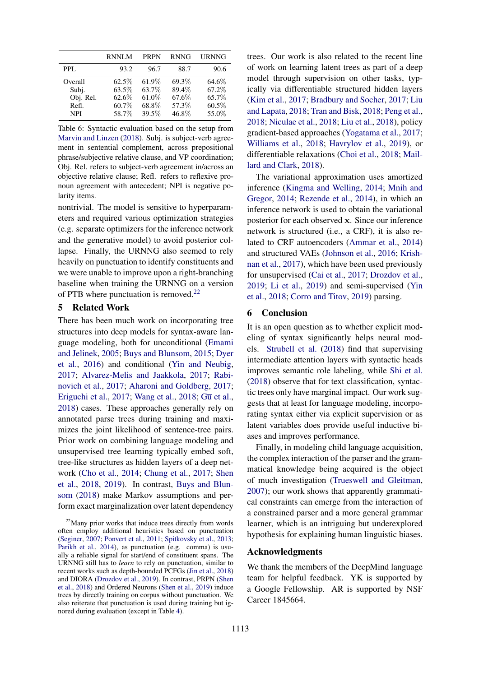|                                                      | <b>RNNLM</b>                               | <b>PRPN</b>                               | <b>RNNG</b>                               | <b>URNNG</b>                              |
|------------------------------------------------------|--------------------------------------------|-------------------------------------------|-------------------------------------------|-------------------------------------------|
| PPL.                                                 | 93.2                                       | 96.7                                      | 88.7                                      | 90.6                                      |
| Overall<br>Subj.<br>Obj. Rel.<br>Refl.<br><b>NPI</b> | 62.5%<br>63.5%<br>62.6\%<br>60.7%<br>58.7% | 61.9%<br>63.7%<br>61.0%<br>68.8%<br>39.5% | 69.3%<br>89.4%<br>67.6%<br>57.3%<br>46.8% | 64.6%<br>67.2%<br>65.7%<br>60.5%<br>55.0% |

Table 6: Syntactic evaluation based on the setup from Marvin and Linzen (2018). Subj. is subject-verb agreement in sentential complement, across prepositional phrase/subjective relative clause, and VP coordination; Obj. Rel. refers to subject-verb agreement in/across an objective relative clause; Refl. refers to reflexive pronoun agreement with antecedent; NPI is negative polarity items.

nontrivial. The model is sensitive to hyperparameters and required various optimization strategies (e.g. separate optimizers for the inference network and the generative model) to avoid posterior collapse. Finally, the URNNG also seemed to rely heavily on punctuation to identify constituents and we were unable to improve upon a right-branching baseline when training the URNNG on a version of PTB where punctuation is removed.<sup>22</sup>

# 5 Related Work

There has been much work on incorporating tree structures into deep models for syntax-aware language modeling, both for unconditional (Emami and Jelinek, 2005; Buys and Blunsom, 2015; Dyer et al., 2016) and conditional (Yin and Neubig, 2017; Alvarez-Melis and Jaakkola, 2017; Rabinovich et al., 2017; Aharoni and Goldberg, 2017; Eriguchi et al., 2017; Wang et al., 2018;  $G\bar{u}$  et al., 2018) cases. These approaches generally rely on annotated parse trees during training and maximizes the joint likelihood of sentence-tree pairs. Prior work on combining language modeling and unsupervised tree learning typically embed soft, tree-like structures as hidden layers of a deep network (Cho et al., 2014; Chung et al., 2017; Shen et al., 2018, 2019). In contrast, Buys and Blunsom (2018) make Markov assumptions and perform exact marginalization over latent dependency trees. Our work is also related to the recent line of work on learning latent trees as part of a deep model through supervision on other tasks, typically via differentiable structured hidden layers (Kim et al., 2017; Bradbury and Socher, 2017; Liu and Lapata, 2018; Tran and Bisk, 2018; Peng et al., 2018; Niculae et al., 2018; Liu et al., 2018), policy gradient-based approaches (Yogatama et al., 2017; Williams et al., 2018; Havrylov et al., 2019), or differentiable relaxations (Choi et al., 2018; Maillard and Clark, 2018).

The variational approximation uses amortized inference (Kingma and Welling, 2014; Mnih and Gregor, 2014; Rezende et al., 2014), in which an inference network is used to obtain the variational posterior for each observed x. Since our inference network is structured (i.e., a CRF), it is also related to CRF autoencoders (Ammar et al., 2014) and structured VAEs (Johnson et al., 2016; Krishnan et al., 2017), which have been used previously for unsupervised (Cai et al., 2017; Drozdov et al., 2019; Li et al., 2019) and semi-supervised (Yin et al., 2018; Corro and Titov, 2019) parsing.

## 6 Conclusion

It is an open question as to whether explicit modeling of syntax significantly helps neural models. Strubell et al. (2018) find that supervising intermediate attention layers with syntactic heads improves semantic role labeling, while Shi et al. (2018) observe that for text classification, syntactic trees only have marginal impact. Our work suggests that at least for language modeling, incorporating syntax either via explicit supervision or as latent variables does provide useful inductive biases and improves performance.

Finally, in modeling child language acquisition, the complex interaction of the parser and the grammatical knowledge being acquired is the object of much investigation (Trueswell and Gleitman, 2007); our work shows that apparently grammatical constraints can emerge from the interaction of a constrained parser and a more general grammar learner, which is an intriguing but underexplored hypothesis for explaining human linguistic biases.

## Acknowledgments

We thank the members of the DeepMind language team for helpful feedback. YK is supported by a Google Fellowship. AR is supported by NSF Career 1845664.

 $22$ Many prior works that induce trees directly from words often employ additional heuristics based on punctuation (Seginer, 2007; Ponvert et al., 2011; Spitkovsky et al., 2013; Parikh et al., 2014), as punctuation (e.g. comma) is usually a reliable signal for start/end of constituent spans. The URNNG still has to *learn* to rely on punctuation, similar to recent works such as depth-bounded PCFGs (Jin et al., 2018) and DIORA (Drozdov et al., 2019). In contrast, PRPN (Shen et al., 2018) and Ordered Neurons (Shen et al., 2019) induce trees by directly training on corpus without punctuation. We also reiterate that punctuation is used during training but ignored during evaluation (except in Table 4).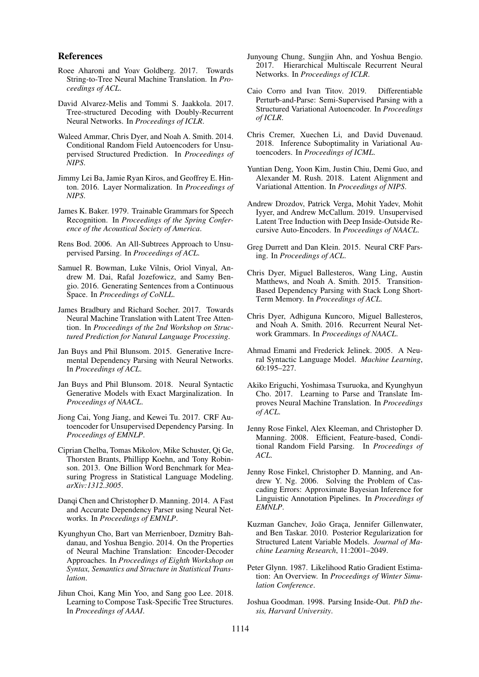### References

- Roee Aharoni and Yoav Goldberg. 2017. Towards String-to-Tree Neural Machine Translation. In *Proceedings of ACL*.
- David Alvarez-Melis and Tommi S. Jaakkola. 2017. Tree-structured Decoding with Doubly-Recurrent Neural Networks. In *Proceedings of ICLR*.
- Waleed Ammar, Chris Dyer, and Noah A. Smith. 2014. Conditional Random Field Autoencoders for Unsupervised Structured Prediction. In *Proceedings of NIPS*.
- Jimmy Lei Ba, Jamie Ryan Kiros, and Geoffrey E. Hinton. 2016. Layer Normalization. In *Proceedings of NIPS*.
- James K. Baker. 1979. Trainable Grammars for Speech Recognition. In *Proceedings of the Spring Conference of the Acoustical Society of America*.
- Rens Bod. 2006. An All-Subtrees Approach to Unsupervised Parsing. In *Proceedings of ACL*.
- Samuel R. Bowman, Luke Vilnis, Oriol Vinyal, Andrew M. Dai, Rafal Jozefowicz, and Samy Bengio. 2016. Generating Sentences from a Continuous Space. In *Proceedings of CoNLL*.
- James Bradbury and Richard Socher. 2017. Towards Neural Machine Translation with Latent Tree Attention. In *Proceedings of the 2nd Workshop on Structured Prediction for Natural Language Processing*.
- Jan Buys and Phil Blunsom. 2015. Generative Incremental Dependency Parsing with Neural Networks. In *Proceedings of ACL*.
- Jan Buys and Phil Blunsom. 2018. Neural Syntactic Generative Models with Exact Marginalization. In *Proceedings of NAACL*.
- Jiong Cai, Yong Jiang, and Kewei Tu. 2017. CRF Autoencoder for Unsupervised Dependency Parsing. In *Proceedings of EMNLP*.
- Ciprian Chelba, Tomas Mikolov, Mike Schuster, Qi Ge, Thorsten Brants, Phillipp Koehn, and Tony Robinson. 2013. One Billion Word Benchmark for Measuring Progress in Statistical Language Modeling. *arXiv:1312.3005*.
- Dangi Chen and Christopher D. Manning. 2014. A Fast and Accurate Dependency Parser using Neural Networks. In *Proceedings of EMNLP*.
- Kyunghyun Cho, Bart van Merrienboer, Dzmitry Bahdanau, and Yoshua Bengio. 2014. On the Properties of Neural Machine Translation: Encoder-Decoder Approaches. In *Proceedings of Eighth Workshop on Syntax, Semantics and Structure in Statistical Translation*.
- Jihun Choi, Kang Min Yoo, and Sang goo Lee. 2018. Learning to Compose Task-Specific Tree Structures. In *Proceedings of AAAI*.
- Junyoung Chung, Sungjin Ahn, and Yoshua Bengio. 2017. Hierarchical Multiscale Recurrent Neural Networks. In *Proceedings of ICLR*.
- Caio Corro and Ivan Titov. 2019. Differentiable Perturb-and-Parse: Semi-Supervised Parsing with a Structured Variational Autoencoder. In *Proceedings of ICLR*.
- Chris Cremer, Xuechen Li, and David Duvenaud. 2018. Inference Suboptimality in Variational Autoencoders. In *Proceedings of ICML*.
- Yuntian Deng, Yoon Kim, Justin Chiu, Demi Guo, and Alexander M. Rush. 2018. Latent Alignment and Variational Attention. In *Proceedings of NIPS*.
- Andrew Drozdov, Patrick Verga, Mohit Yadev, Mohit Iyyer, and Andrew McCallum. 2019. Unsupervised Latent Tree Induction with Deep Inside-Outside Recursive Auto-Encoders. In *Proceedings of NAACL*.
- Greg Durrett and Dan Klein. 2015. Neural CRF Parsing. In *Proceedings of ACL*.
- Chris Dyer, Miguel Ballesteros, Wang Ling, Austin Matthews, and Noah A. Smith. 2015. Transition-Based Dependency Parsing with Stack Long Short-Term Memory. In *Proceedings of ACL*.
- Chris Dyer, Adhiguna Kuncoro, Miguel Ballesteros, and Noah A. Smith. 2016. Recurrent Neural Network Grammars. In *Proceedings of NAACL*.
- Ahmad Emami and Frederick Jelinek. 2005. A Neural Syntactic Language Model. *Machine Learning*, 60:195–227.
- Akiko Eriguchi, Yoshimasa Tsuruoka, and Kyunghyun Cho. 2017. Learning to Parse and Translate Improves Neural Machine Translation. In *Proceedings of ACL*.
- Jenny Rose Finkel, Alex Kleeman, and Christopher D. Manning. 2008. Efficient, Feature-based, Conditional Random Field Parsing. In *Proceedings of ACL*.
- Jenny Rose Finkel, Christopher D. Manning, and Andrew Y. Ng. 2006. Solving the Problem of Cascading Errors: Approximate Bayesian Inference for Linguistic Annotation Pipelines. In *Proceedings of EMNLP*.
- Kuzman Ganchev, João Graça, Jennifer Gillenwater, and Ben Taskar. 2010. Posterior Regularization for Structured Latent Variable Models. *Journal of Machine Learning Research*, 11:2001–2049.
- Peter Glynn. 1987. Likelihood Ratio Gradient Estimation: An Overview. In *Proceedings of Winter Simulation Conference*.
- Joshua Goodman. 1998. Parsing Inside-Out. *PhD thesis, Harvard University*.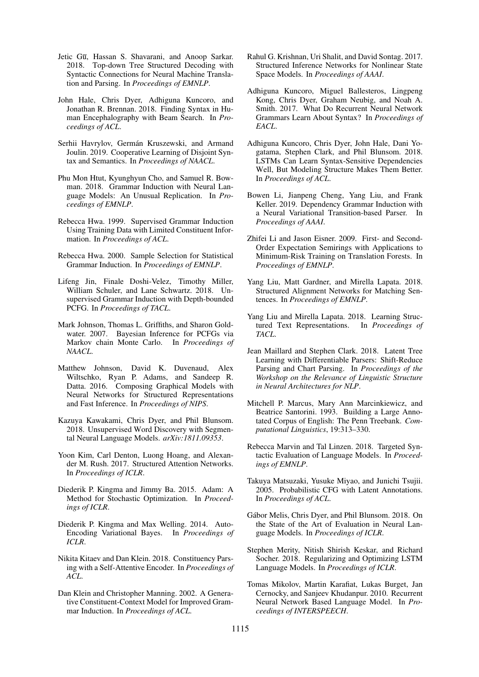- Jetic Gu, Hassan S. Shavarani, and Anoop Sarkar. 2018. Top-down Tree Structured Decoding with Syntactic Connections for Neural Machine Translation and Parsing. In *Proceedings of EMNLP*.
- John Hale, Chris Dyer, Adhiguna Kuncoro, and Jonathan R. Brennan. 2018. Finding Syntax in Human Encephalography with Beam Search. In *Proceedings of ACL*.
- Serhii Havrylov, Germán Kruszewski, and Armand Joulin. 2019. Cooperative Learning of Disjoint Syntax and Semantics. In *Proceedings of NAACL*.
- Phu Mon Htut, Kyunghyun Cho, and Samuel R. Bowman. 2018. Grammar Induction with Neural Language Models: An Unusual Replication. In *Proceedings of EMNLP*.
- Rebecca Hwa. 1999. Supervised Grammar Induction Using Training Data with Limited Constituent Information. In *Proceedings of ACL*.
- Rebecca Hwa. 2000. Sample Selection for Statistical Grammar Induction. In *Proceedings of EMNLP*.
- Lifeng Jin, Finale Doshi-Velez, Timothy Miller, William Schuler, and Lane Schwartz. 2018. Unsupervised Grammar Induction with Depth-bounded PCFG. In *Proceedings of TACL*.
- Mark Johnson, Thomas L. Griffiths, and Sharon Goldwater. 2007. Bayesian Inference for PCFGs via Markov chain Monte Carlo. In *Proceedings of NAACL*.
- Matthew Johnson, David K. Duvenaud, Alex Wiltschko, Ryan P. Adams, and Sandeep R. Datta. 2016. Composing Graphical Models with Neural Networks for Structured Representations and Fast Inference. In *Proceedings of NIPS*.
- Kazuya Kawakami, Chris Dyer, and Phil Blunsom. 2018. Unsupervised Word Discovery with Segmental Neural Language Models. *arXiv:1811.09353*.
- Yoon Kim, Carl Denton, Luong Hoang, and Alexander M. Rush. 2017. Structured Attention Networks. In *Proceedings of ICLR*.
- Diederik P. Kingma and Jimmy Ba. 2015. Adam: A Method for Stochastic Optimization. In *Proceedings of ICLR*.
- Diederik P. Kingma and Max Welling. 2014. Auto-Encoding Variational Bayes. In *Proceedings of ICLR*.
- Nikita Kitaev and Dan Klein. 2018. Constituency Parsing with a Self-Attentive Encoder. In *Proceedings of ACL*.
- Dan Klein and Christopher Manning. 2002. A Generative Constituent-Context Model for Improved Grammar Induction. In *Proceedings of ACL*.
- Rahul G. Krishnan, Uri Shalit, and David Sontag. 2017. Structured Inference Networks for Nonlinear State Space Models. In *Proceedings of AAAI*.
- Adhiguna Kuncoro, Miguel Ballesteros, Lingpeng Kong, Chris Dyer, Graham Neubig, and Noah A. Smith. 2017. What Do Recurrent Neural Network Grammars Learn About Syntax? In *Proceedings of EACL*.
- Adhiguna Kuncoro, Chris Dyer, John Hale, Dani Yogatama, Stephen Clark, and Phil Blunsom. 2018. LSTMs Can Learn Syntax-Sensitive Dependencies Well, But Modeling Structure Makes Them Better. In *Proceedings of ACL*.
- Bowen Li, Jianpeng Cheng, Yang Liu, and Frank Keller. 2019. Dependency Grammar Induction with a Neural Variational Transition-based Parser. In *Proceedings of AAAI*.
- Zhifei Li and Jason Eisner. 2009. First- and Second-Order Expectation Semirings with Applications to Minimum-Risk Training on Translation Forests. In *Proceedings of EMNLP*.
- Yang Liu, Matt Gardner, and Mirella Lapata. 2018. Structured Alignment Networks for Matching Sentences. In *Proceedings of EMNLP*.
- Yang Liu and Mirella Lapata. 2018. Learning Structured Text Representations. In *Proceedings of TACL*.
- Jean Maillard and Stephen Clark. 2018. Latent Tree Learning with Differentiable Parsers: Shift-Reduce Parsing and Chart Parsing. In *Proceedings of the Workshop on the Relevance of Linguistic Structure in Neural Architectures for NLP*.
- Mitchell P. Marcus, Mary Ann Marcinkiewicz, and Beatrice Santorini. 1993. Building a Large Annotated Corpus of English: The Penn Treebank. *Computational Linguistics*, 19:313–330.
- Rebecca Marvin and Tal Linzen. 2018. Targeted Syntactic Evaluation of Language Models. In *Proceedings of EMNLP*.
- Takuya Matsuzaki, Yusuke Miyao, and Junichi Tsujii. 2005. Probabilistic CFG with Latent Annotations. In *Proceedings of ACL*.
- Gabor Melis, Chris Dyer, and Phil Blunsom. 2018. On ´ the State of the Art of Evaluation in Neural Language Models. In *Proceedings of ICLR*.
- Stephen Merity, Nitish Shirish Keskar, and Richard Socher. 2018. Regularizing and Optimizing LSTM Language Models. In *Proceedings of ICLR*.
- Tomas Mikolov, Martin Karafiat, Lukas Burget, Jan Cernocky, and Sanjeev Khudanpur. 2010. Recurrent Neural Network Based Language Model. In *Proceedings of INTERSPEECH*.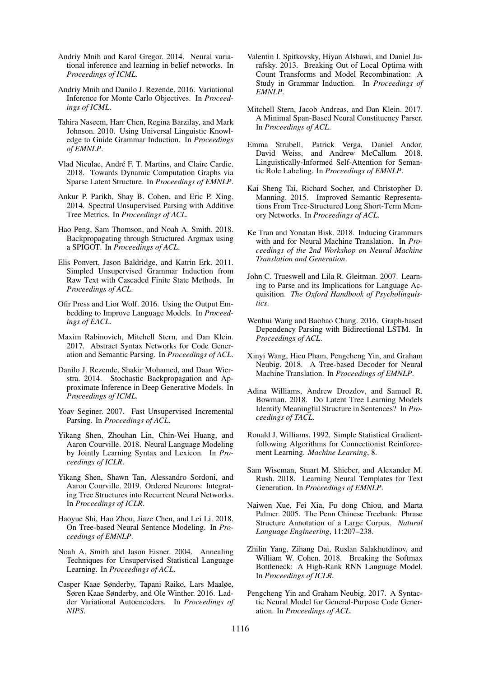- Andriy Mnih and Karol Gregor. 2014. Neural variational inference and learning in belief networks. In *Proceedings of ICML*.
- Andriy Mnih and Danilo J. Rezende. 2016. Variational Inference for Monte Carlo Objectives. In *Proceedings of ICML*.
- Tahira Naseem, Harr Chen, Regina Barzilay, and Mark Johnson. 2010. Using Universal Linguistic Knowledge to Guide Grammar Induction. In *Proceedings of EMNLP*.
- Vlad Niculae, André F. T. Martins, and Claire Cardie. 2018. Towards Dynamic Computation Graphs via Sparse Latent Structure. In *Proceedings of EMNLP*.
- Ankur P. Parikh, Shay B. Cohen, and Eric P. Xing. 2014. Spectral Unsupervised Parsing with Additive Tree Metrics. In *Proceedings of ACL*.
- Hao Peng, Sam Thomson, and Noah A. Smith. 2018. Backpropagating through Structured Argmax using a SPIGOT. In *Proceedings of ACL*.
- Elis Ponvert, Jason Baldridge, and Katrin Erk. 2011. Simpled Unsupervised Grammar Induction from Raw Text with Cascaded Finite State Methods. In *Proceedings of ACL*.
- Ofir Press and Lior Wolf. 2016. Using the Output Embedding to Improve Language Models. In *Proceedings of EACL*.
- Maxim Rabinovich, Mitchell Stern, and Dan Klein. 2017. Abstract Syntax Networks for Code Generation and Semantic Parsing. In *Proceedings of ACL*.
- Danilo J. Rezende, Shakir Mohamed, and Daan Wierstra. 2014. Stochastic Backpropagation and Approximate Inference in Deep Generative Models. In *Proceedings of ICML*.
- Yoav Seginer. 2007. Fast Unsupervised Incremental Parsing. In *Proceedings of ACL*.
- Yikang Shen, Zhouhan Lin, Chin-Wei Huang, and Aaron Courville. 2018. Neural Language Modeling by Jointly Learning Syntax and Lexicon. In *Proceedings of ICLR*.
- Yikang Shen, Shawn Tan, Alessandro Sordoni, and Aaron Courville. 2019. Ordered Neurons: Integrating Tree Structures into Recurrent Neural Networks. In *Proceedings of ICLR*.
- Haoyue Shi, Hao Zhou, Jiaze Chen, and Lei Li. 2018. On Tree-based Neural Sentence Modeling. In *Proceedings of EMNLP*.
- Noah A. Smith and Jason Eisner. 2004. Annealing Techniques for Unsupervised Statistical Language Learning. In *Proceedings of ACL*.
- Casper Kaae Sønderby, Tapani Raiko, Lars Maaløe, Søren Kaae Sønderby, and Ole Winther. 2016. Ladder Variational Autoencoders. In *Proceedings of NIPS*.
- Valentin I. Spitkovsky, Hiyan Alshawi, and Daniel Jurafsky. 2013. Breaking Out of Local Optima with Count Transforms and Model Recombination: A Study in Grammar Induction. In *Proceedings of EMNLP*.
- Mitchell Stern, Jacob Andreas, and Dan Klein. 2017. A Minimal Span-Based Neural Constituency Parser. In *Proceedings of ACL*.
- Emma Strubell, Patrick Verga, Daniel Andor, David Weiss, and Andrew McCallum. 2018. Linguistically-Informed Self-Attention for Semantic Role Labeling. In *Proceedings of EMNLP*.
- Kai Sheng Tai, Richard Socher, and Christopher D. Manning. 2015. Improved Semantic Representations From Tree-Structured Long Short-Term Memory Networks. In *Proceedings of ACL*.
- Ke Tran and Yonatan Bisk. 2018. Inducing Grammars with and for Neural Machine Translation. In *Proceedings of the 2nd Workshop on Neural Machine Translation and Generation*.
- John C. Trueswell and Lila R. Gleitman. 2007. Learning to Parse and its Implications for Language Acquisition. *The Oxford Handbook of Psycholinguistics*.
- Wenhui Wang and Baobao Chang. 2016. Graph-based Dependency Parsing with Bidirectional LSTM. In *Proceedings of ACL*.
- Xinyi Wang, Hieu Pham, Pengcheng Yin, and Graham Neubig. 2018. A Tree-based Decoder for Neural Machine Translation. In *Proceedings of EMNLP*.
- Adina Williams, Andrew Drozdov, and Samuel R. Bowman. 2018. Do Latent Tree Learning Models Identify Meaningful Structure in Sentences? In *Proceedings of TACL*.
- Ronald J. Williams. 1992. Simple Statistical Gradientfollowing Algorithms for Connectionist Reinforcement Learning. *Machine Learning*, 8.
- Sam Wiseman, Stuart M. Shieber, and Alexander M. Rush. 2018. Learning Neural Templates for Text Generation. In *Proceedings of EMNLP*.
- Naiwen Xue, Fei Xia, Fu dong Chiou, and Marta Palmer. 2005. The Penn Chinese Treebank: Phrase Structure Annotation of a Large Corpus. *Natural Language Engineering*, 11:207–238.
- Zhilin Yang, Zihang Dai, Ruslan Salakhutdinov, and William W. Cohen. 2018. Breaking the Softmax Bottleneck: A High-Rank RNN Language Model. In *Proceedings of ICLR*.
- Pengcheng Yin and Graham Neubig. 2017. A Syntactic Neural Model for General-Purpose Code Generation. In *Proceedings of ACL*.